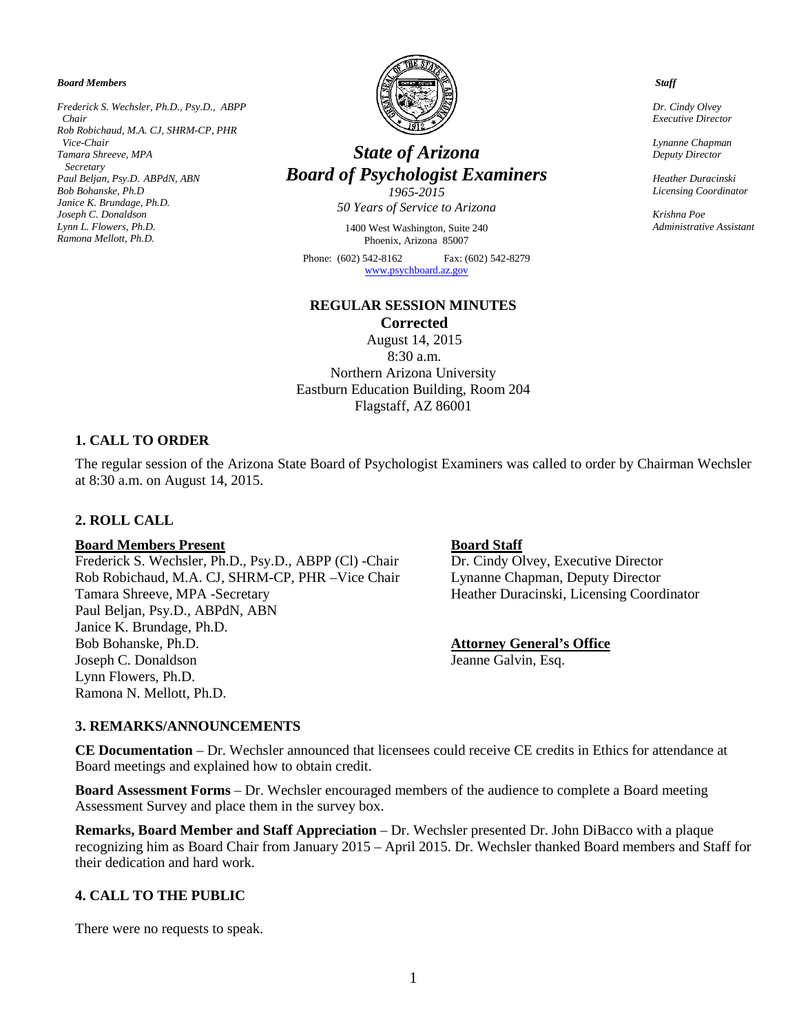*Board Members*

*Frederick S. Wechsler, Ph.D., Psy.D., ABPP Chair Rob Robichaud, M.A. CJ, SHRM-CP, PHR Vice-Chair Tamara Shreeve, MPA Secretary Paul Beljan, Psy.D. ABPdN, ABN Bob Bohanske, Ph.D Janice K. Brundage, Ph.D. Joseph C. Donaldson Lynn L. Flowers, Ph.D. Ramona Mellott, Ph.D.*



# *State of Arizona Board of Psychologist Examiners*

*1965-2015 50 Years of Service to Arizona*

1400 West Washington, Suite 240 Phoenix, Arizona 85007

Phone: (602) 542-8162 Fax: (602) 542-8279 [www.psychboard.az.gov](http://www.psychboard.az.gov/) 

# **REGULAR SESSION MINUTES Corrected**

August 14, 2015 8:30 a.m. Northern Arizona University Eastburn Education Building, Room 204 Flagstaff, AZ 86001

# **1. CALL TO ORDER**

The regular session of the Arizona State Board of Psychologist Examiners was called to order by Chairman Wechsler at 8:30 a.m. on August 14, 2015.

# **2. ROLL CALL**

**Board Members Present**<br>Frederick S. Wechsler, Ph.D., Psy.D., ABPP (Cl) -Chair Dr. Cindy Olvey, Executive Director Frederick S. Wechsler, Ph.D., Psy.D., ABPP (Cl) -Chair Rob Robichaud, M.A. CJ, SHRM-CP, PHR –Vice Chair Lynanne Chapman, Deputy Director Tamara Shreeve, MPA -Secretary **Heather Duracinski, Licensing Coordinator** Heather Duracinski, Licensing Coordinator Paul Beljan, Psy.D., ABPdN, ABN Janice K. Brundage, Ph.D. Bob Bohanske, Ph.D. **Attorney General's Office** Joseph C. Donaldson Jeanne Galvin, Esq. Lynn Flowers, Ph.D. Ramona N. Mellott, Ph.D.

# **3. REMARKS/ANNOUNCEMENTS**

**CE Documentation** – Dr. Wechsler announced that licensees could receive CE credits in Ethics for attendance at Board meetings and explained how to obtain credit.

**Board Assessment Forms** – Dr. Wechsler encouraged members of the audience to complete a Board meeting Assessment Survey and place them in the survey box.

**Remarks, Board Member and Staff Appreciation** – Dr. Wechsler presented Dr. John DiBacco with a plaque recognizing him as Board Chair from January 2015 – April 2015. Dr. Wechsler thanked Board members and Staff for their dedication and hard work.

# **4. CALL TO THE PUBLIC**

There were no requests to speak.

#### *Staff*

 *Dr. Cindy Olvey Executive Director*

 *Lynanne Chapman Deputy Director*

 *Heather Duracinski Licensing Coordinator*

 *Krishna Poe Administrative Assistant*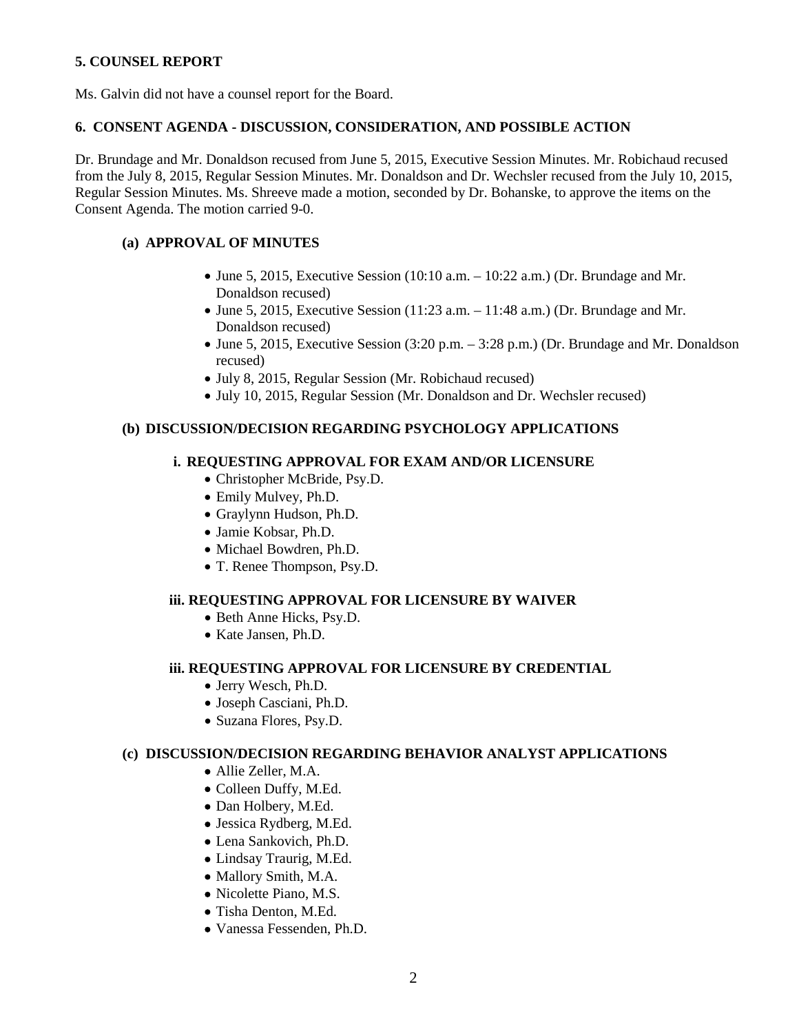# **5. COUNSEL REPORT**

Ms. Galvin did not have a counsel report for the Board.

#### **6. CONSENT AGENDA - DISCUSSION, CONSIDERATION, AND POSSIBLE ACTION**

Dr. Brundage and Mr. Donaldson recused from June 5, 2015, Executive Session Minutes. Mr. Robichaud recused from the July 8, 2015, Regular Session Minutes. Mr. Donaldson and Dr. Wechsler recused from the July 10, 2015, Regular Session Minutes. Ms. Shreeve made a motion, seconded by Dr. Bohanske, to approve the items on the Consent Agenda. The motion carried 9-0.

# **(a) APPROVAL OF MINUTES**

- June 5, 2015, Executive Session (10:10 a.m.  $-$  10:22 a.m.) (Dr. Brundage and Mr. Donaldson recused)
- June 5, 2015, Executive Session (11:23 a.m.  $-$  11:48 a.m.) (Dr. Brundage and Mr. Donaldson recused)
- June 5, 2015, Executive Session (3:20 p.m. 3:28 p.m.) (Dr. Brundage and Mr. Donaldson recused)
- July 8, 2015, Regular Session (Mr. Robichaud recused)
- July 10, 2015, Regular Session (Mr. Donaldson and Dr. Wechsler recused)

# **(b) DISCUSSION/DECISION REGARDING PSYCHOLOGY APPLICATIONS**

#### **i. REQUESTING APPROVAL FOR EXAM AND/OR LICENSURE**

- Christopher McBride, Psy.D.
- Emily Mulvey, Ph.D.
- Graylynn Hudson, Ph.D.
- Jamie Kobsar, Ph.D.
- Michael Bowdren, Ph.D.
- T. Renee Thompson, Psy.D.

# **iii. REQUESTING APPROVAL FOR LICENSURE BY WAIVER**

- Beth Anne Hicks, Psy.D.
- Kate Jansen, Ph.D.

# **iii. REQUESTING APPROVAL FOR LICENSURE BY CREDENTIAL**

- Jerry Wesch, Ph.D.
- Joseph Casciani, Ph.D.
- Suzana Flores, Psy.D.

# **(c) DISCUSSION/DECISION REGARDING BEHAVIOR ANALYST APPLICATIONS**

- Allie Zeller, M.A.
- Colleen Duffy, M.Ed.
- Dan Holbery, M.Ed.
- Jessica Rydberg, M.Ed.
- Lena Sankovich, Ph.D.
- Lindsay Traurig, M.Ed.
- Mallory Smith, M.A.
- Nicolette Piano, M.S.
- Tisha Denton, M.Ed.
- Vanessa Fessenden, Ph.D.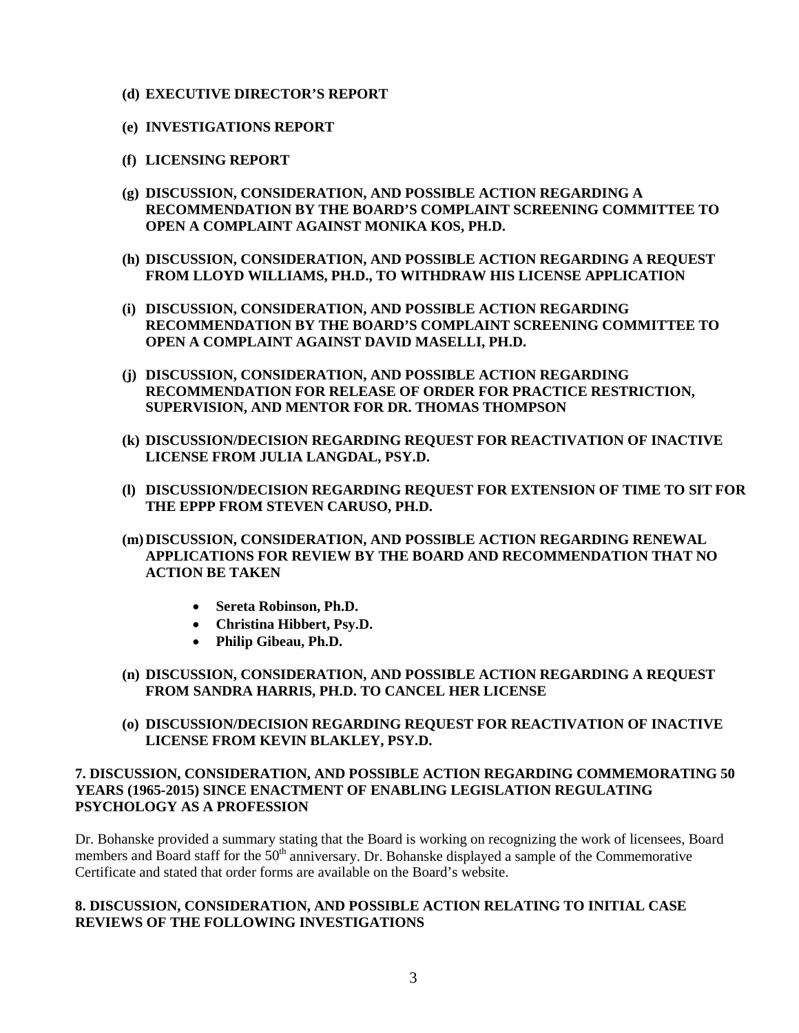- **(d) EXECUTIVE DIRECTOR'S REPORT**
- **(e) INVESTIGATIONS REPORT**
- **(f) LICENSING REPORT**
- **(g) DISCUSSION, CONSIDERATION, AND POSSIBLE ACTION REGARDING A RECOMMENDATION BY THE BOARD'S COMPLAINT SCREENING COMMITTEE TO OPEN A COMPLAINT AGAINST MONIKA KOS, PH.D.**
- **(h) DISCUSSION, CONSIDERATION, AND POSSIBLE ACTION REGARDING A REQUEST FROM LLOYD WILLIAMS, PH.D., TO WITHDRAW HIS LICENSE APPLICATION**
- **(i) DISCUSSION, CONSIDERATION, AND POSSIBLE ACTION REGARDING RECOMMENDATION BY THE BOARD'S COMPLAINT SCREENING COMMITTEE TO OPEN A COMPLAINT AGAINST DAVID MASELLI, PH.D.**
- **(j) DISCUSSION, CONSIDERATION, AND POSSIBLE ACTION REGARDING RECOMMENDATION FOR RELEASE OF ORDER FOR PRACTICE RESTRICTION, SUPERVISION, AND MENTOR FOR DR. THOMAS THOMPSON**
- **(k) DISCUSSION/DECISION REGARDING REQUEST FOR REACTIVATION OF INACTIVE LICENSE FROM JULIA LANGDAL, PSY.D.**
- **(l) DISCUSSION/DECISION REGARDING REQUEST FOR EXTENSION OF TIME TO SIT FOR THE EPPP FROM STEVEN CARUSO, PH.D.**
- **(m)DISCUSSION, CONSIDERATION, AND POSSIBLE ACTION REGARDING RENEWAL APPLICATIONS FOR REVIEW BY THE BOARD AND RECOMMENDATION THAT NO ACTION BE TAKEN**
	- **Sereta Robinson, Ph.D.**
	- **Christina Hibbert, Psy.D.**
	- **Philip Gibeau, Ph.D.**
- **(n) DISCUSSION, CONSIDERATION, AND POSSIBLE ACTION REGARDING A REQUEST FROM SANDRA HARRIS, PH.D. TO CANCEL HER LICENSE**
- **(o) DISCUSSION/DECISION REGARDING REQUEST FOR REACTIVATION OF INACTIVE LICENSE FROM KEVIN BLAKLEY, PSY.D.**

# **7. DISCUSSION, CONSIDERATION, AND POSSIBLE ACTION REGARDING COMMEMORATING 50 YEARS (1965-2015) SINCE ENACTMENT OF ENABLING LEGISLATION REGULATING PSYCHOLOGY AS A PROFESSION**

Dr. Bohanske provided a summary stating that the Board is working on recognizing the work of licensees, Board members and Board staff for the 50<sup>th</sup> anniversary. Dr. Bohanske displayed a sample of the Commemorative Certificate and stated that order forms are available on the Board's website.

# **8. DISCUSSION, CONSIDERATION, AND POSSIBLE ACTION RELATING TO INITIAL CASE REVIEWS OF THE FOLLOWING INVESTIGATIONS**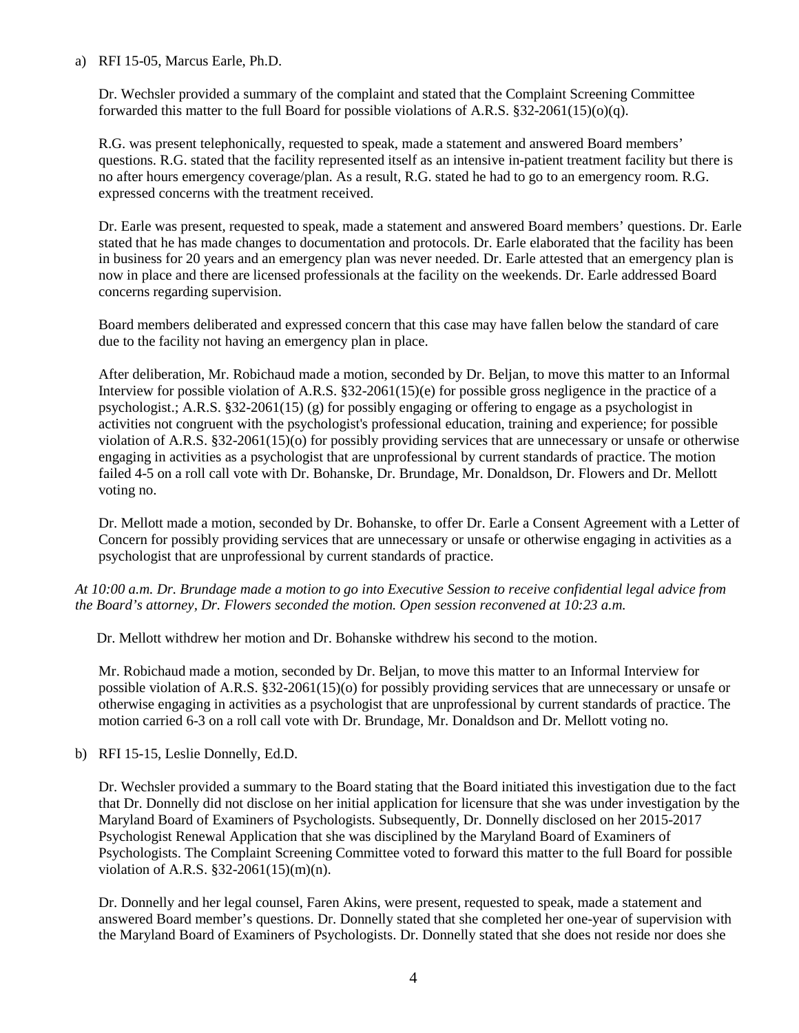# a) RFI 15-05, Marcus Earle, Ph.D.

Dr. Wechsler provided a summary of the complaint and stated that the Complaint Screening Committee forwarded this matter to the full Board for possible violations of A.R.S.  $§32-2061(15)(o)(q)$ .

R.G. was present telephonically, requested to speak, made a statement and answered Board members' questions. R.G. stated that the facility represented itself as an intensive in-patient treatment facility but there is no after hours emergency coverage/plan. As a result, R.G. stated he had to go to an emergency room. R.G. expressed concerns with the treatment received.

Dr. Earle was present, requested to speak, made a statement and answered Board members' questions. Dr. Earle stated that he has made changes to documentation and protocols. Dr. Earle elaborated that the facility has been in business for 20 years and an emergency plan was never needed. Dr. Earle attested that an emergency plan is now in place and there are licensed professionals at the facility on the weekends. Dr. Earle addressed Board concerns regarding supervision.

Board members deliberated and expressed concern that this case may have fallen below the standard of care due to the facility not having an emergency plan in place.

After deliberation, Mr. Robichaud made a motion, seconded by Dr. Beljan, to move this matter to an Informal Interview for possible violation of A.R.S. §32-2061(15)(e) for possible gross negligence in the practice of a psychologist.; A.R.S. §32-2061(15) (g) for possibly engaging or offering to engage as a psychologist in activities not congruent with the psychologist's professional education, training and experience; for possible violation of A.R.S. §32-2061(15)(o) for possibly providing services that are unnecessary or unsafe or otherwise engaging in activities as a psychologist that are unprofessional by current standards of practice. The motion failed 4-5 on a roll call vote with Dr. Bohanske, Dr. Brundage, Mr. Donaldson, Dr. Flowers and Dr. Mellott voting no.

Dr. Mellott made a motion, seconded by Dr. Bohanske, to offer Dr. Earle a Consent Agreement with a Letter of Concern for possibly providing services that are unnecessary or unsafe or otherwise engaging in activities as a psychologist that are unprofessional by current standards of practice.

*At 10:00 a.m. Dr. Brundage made a motion to go into Executive Session to receive confidential legal advice from the Board's attorney, Dr. Flowers seconded the motion. Open session reconvened at 10:23 a.m.*

Dr. Mellott withdrew her motion and Dr. Bohanske withdrew his second to the motion.

Mr. Robichaud made a motion, seconded by Dr. Beljan, to move this matter to an Informal Interview for possible violation of A.R.S. §32-2061(15)(o) for possibly providing services that are unnecessary or unsafe or otherwise engaging in activities as a psychologist that are unprofessional by current standards of practice. The motion carried 6-3 on a roll call vote with Dr. Brundage, Mr. Donaldson and Dr. Mellott voting no.

b) RFI 15-15, Leslie Donnelly, Ed.D.

Dr. Wechsler provided a summary to the Board stating that the Board initiated this investigation due to the fact that Dr. Donnelly did not disclose on her initial application for licensure that she was under investigation by the Maryland Board of Examiners of Psychologists. Subsequently, Dr. Donnelly disclosed on her 2015-2017 Psychologist Renewal Application that she was disciplined by the Maryland Board of Examiners of Psychologists. The Complaint Screening Committee voted to forward this matter to the full Board for possible violation of A.R.S. §32-2061(15)(m)(n).

Dr. Donnelly and her legal counsel, Faren Akins, were present, requested to speak, made a statement and answered Board member's questions. Dr. Donnelly stated that she completed her one-year of supervision with the Maryland Board of Examiners of Psychologists. Dr. Donnelly stated that she does not reside nor does she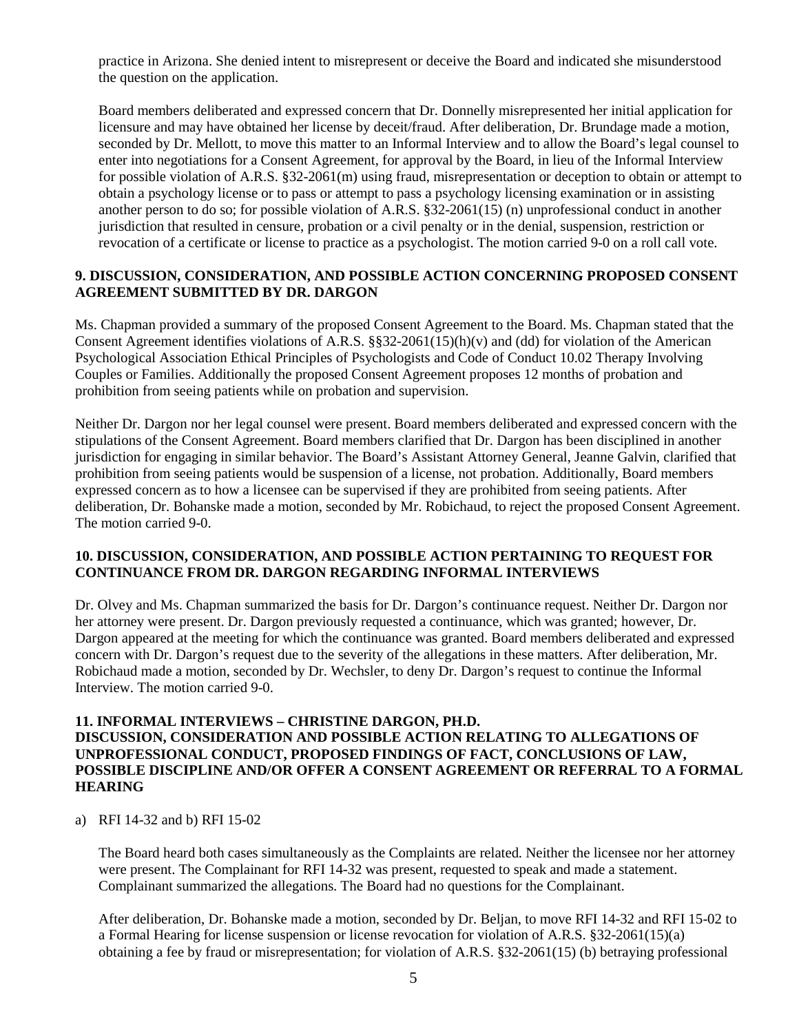practice in Arizona. She denied intent to misrepresent or deceive the Board and indicated she misunderstood the question on the application.

Board members deliberated and expressed concern that Dr. Donnelly misrepresented her initial application for licensure and may have obtained her license by deceit/fraud. After deliberation, Dr. Brundage made a motion, seconded by Dr. Mellott, to move this matter to an Informal Interview and to allow the Board's legal counsel to enter into negotiations for a Consent Agreement, for approval by the Board, in lieu of the Informal Interview for possible violation of A.R.S. §32-2061(m) using fraud, misrepresentation or deception to obtain or attempt to obtain a psychology license or to pass or attempt to pass a psychology licensing examination or in assisting another person to do so; for possible violation of A.R.S. §32-2061(15) (n) unprofessional conduct in another jurisdiction that resulted in censure, probation or a civil penalty or in the denial, suspension, restriction or revocation of a certificate or license to practice as a psychologist. The motion carried 9-0 on a roll call vote.

# **9. DISCUSSION, CONSIDERATION, AND POSSIBLE ACTION CONCERNING PROPOSED CONSENT AGREEMENT SUBMITTED BY DR. DARGON**

Ms. Chapman provided a summary of the proposed Consent Agreement to the Board. Ms. Chapman stated that the Consent Agreement identifies violations of A.R.S.  $\S$  32-2061(15)(h)(v) and (dd) for violation of the American Psychological Association Ethical Principles of Psychologists and Code of Conduct 10.02 Therapy Involving Couples or Families. Additionally the proposed Consent Agreement proposes 12 months of probation and prohibition from seeing patients while on probation and supervision.

Neither Dr. Dargon nor her legal counsel were present. Board members deliberated and expressed concern with the stipulations of the Consent Agreement. Board members clarified that Dr. Dargon has been disciplined in another jurisdiction for engaging in similar behavior. The Board's Assistant Attorney General, Jeanne Galvin, clarified that prohibition from seeing patients would be suspension of a license, not probation. Additionally, Board members expressed concern as to how a licensee can be supervised if they are prohibited from seeing patients. After deliberation, Dr. Bohanske made a motion, seconded by Mr. Robichaud, to reject the proposed Consent Agreement. The motion carried 9-0.

# **10. DISCUSSION, CONSIDERATION, AND POSSIBLE ACTION PERTAINING TO REQUEST FOR CONTINUANCE FROM DR. DARGON REGARDING INFORMAL INTERVIEWS**

Dr. Olvey and Ms. Chapman summarized the basis for Dr. Dargon's continuance request. Neither Dr. Dargon nor her attorney were present. Dr. Dargon previously requested a continuance, which was granted; however, Dr. Dargon appeared at the meeting for which the continuance was granted. Board members deliberated and expressed concern with Dr. Dargon's request due to the severity of the allegations in these matters. After deliberation, Mr. Robichaud made a motion, seconded by Dr. Wechsler, to deny Dr. Dargon's request to continue the Informal Interview. The motion carried 9-0.

# **11. INFORMAL INTERVIEWS – CHRISTINE DARGON, PH.D.**

# **DISCUSSION, CONSIDERATION AND POSSIBLE ACTION RELATING TO ALLEGATIONS OF UNPROFESSIONAL CONDUCT, PROPOSED FINDINGS OF FACT, CONCLUSIONS OF LAW, POSSIBLE DISCIPLINE AND/OR OFFER A CONSENT AGREEMENT OR REFERRAL TO A FORMAL HEARING**

a) RFI 14-32 and b) RFI 15-02

The Board heard both cases simultaneously as the Complaints are related. Neither the licensee nor her attorney were present. The Complainant for RFI 14-32 was present, requested to speak and made a statement. Complainant summarized the allegations. The Board had no questions for the Complainant.

After deliberation, Dr. Bohanske made a motion, seconded by Dr. Beljan, to move RFI 14-32 and RFI 15-02 to a Formal Hearing for license suspension or license revocation for violation of A.R.S. §32-2061(15)(a) obtaining a fee by fraud or misrepresentation; for violation of A.R.S. §32-2061(15) (b) betraying professional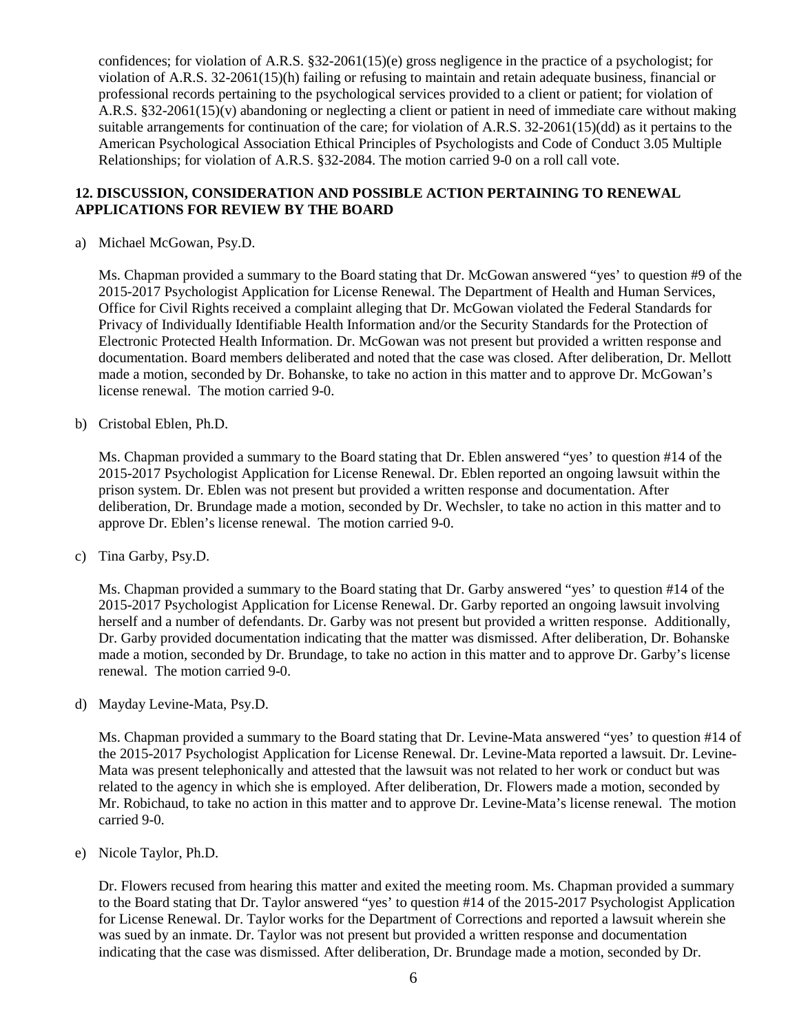confidences; for violation of A.R.S. §32-2061(15)(e) gross negligence in the practice of a psychologist; for violation of A.R.S. 32-2061(15)(h) failing or refusing to maintain and retain adequate business, financial or professional records pertaining to the psychological services provided to a client or patient; for violation of A.R.S. §32-2061(15)(v) abandoning or neglecting a client or patient in need of immediate care without making suitable arrangements for continuation of the care; for violation of A.R.S. 32-2061(15)(dd) as it pertains to the American Psychological Association Ethical Principles of Psychologists and Code of Conduct 3.05 Multiple Relationships; for violation of A.R.S. §32-2084. The motion carried 9-0 on a roll call vote.

# **12. DISCUSSION, CONSIDERATION AND POSSIBLE ACTION PERTAINING TO RENEWAL APPLICATIONS FOR REVIEW BY THE BOARD**

a) Michael McGowan, Psy.D.

Ms. Chapman provided a summary to the Board stating that Dr. McGowan answered "yes' to question #9 of the 2015-2017 Psychologist Application for License Renewal. The Department of Health and Human Services, Office for Civil Rights received a complaint alleging that Dr. McGowan violated the Federal Standards for Privacy of Individually Identifiable Health Information and/or the Security Standards for the Protection of Electronic Protected Health Information. Dr. McGowan was not present but provided a written response and documentation. Board members deliberated and noted that the case was closed. After deliberation, Dr. Mellott made a motion, seconded by Dr. Bohanske, to take no action in this matter and to approve Dr. McGowan's license renewal. The motion carried 9-0.

b) Cristobal Eblen, Ph.D.

Ms. Chapman provided a summary to the Board stating that Dr. Eblen answered "yes' to question #14 of the 2015-2017 Psychologist Application for License Renewal. Dr. Eblen reported an ongoing lawsuit within the prison system. Dr. Eblen was not present but provided a written response and documentation. After deliberation, Dr. Brundage made a motion, seconded by Dr. Wechsler, to take no action in this matter and to approve Dr. Eblen's license renewal. The motion carried 9-0.

c) Tina Garby, Psy.D.

Ms. Chapman provided a summary to the Board stating that Dr. Garby answered "yes' to question #14 of the 2015-2017 Psychologist Application for License Renewal. Dr. Garby reported an ongoing lawsuit involving herself and a number of defendants. Dr. Garby was not present but provided a written response. Additionally, Dr. Garby provided documentation indicating that the matter was dismissed. After deliberation, Dr. Bohanske made a motion, seconded by Dr. Brundage, to take no action in this matter and to approve Dr. Garby's license renewal. The motion carried 9-0.

d) Mayday Levine-Mata, Psy.D.

Ms. Chapman provided a summary to the Board stating that Dr. Levine-Mata answered "yes' to question #14 of the 2015-2017 Psychologist Application for License Renewal. Dr. Levine-Mata reported a lawsuit. Dr. Levine-Mata was present telephonically and attested that the lawsuit was not related to her work or conduct but was related to the agency in which she is employed. After deliberation, Dr. Flowers made a motion, seconded by Mr. Robichaud, to take no action in this matter and to approve Dr. Levine-Mata's license renewal. The motion carried 9-0.

e) Nicole Taylor, Ph.D.

Dr. Flowers recused from hearing this matter and exited the meeting room. Ms. Chapman provided a summary to the Board stating that Dr. Taylor answered "yes' to question #14 of the 2015-2017 Psychologist Application for License Renewal. Dr. Taylor works for the Department of Corrections and reported a lawsuit wherein she was sued by an inmate. Dr. Taylor was not present but provided a written response and documentation indicating that the case was dismissed. After deliberation, Dr. Brundage made a motion, seconded by Dr.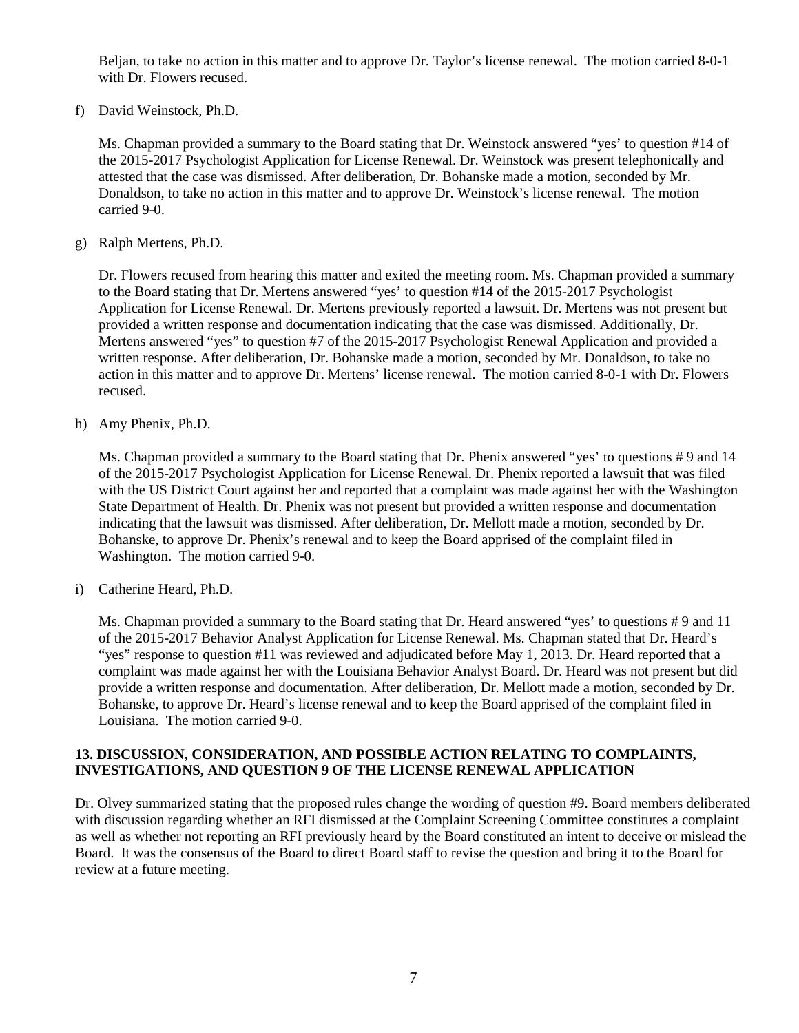Beljan, to take no action in this matter and to approve Dr. Taylor's license renewal. The motion carried 8-0-1 with Dr. Flowers recused.

f) David Weinstock, Ph.D.

Ms. Chapman provided a summary to the Board stating that Dr. Weinstock answered "yes' to question #14 of the 2015-2017 Psychologist Application for License Renewal. Dr. Weinstock was present telephonically and attested that the case was dismissed. After deliberation, Dr. Bohanske made a motion, seconded by Mr. Donaldson, to take no action in this matter and to approve Dr. Weinstock's license renewal. The motion carried 9-0.

g) Ralph Mertens, Ph.D.

Dr. Flowers recused from hearing this matter and exited the meeting room. Ms. Chapman provided a summary to the Board stating that Dr. Mertens answered "yes' to question #14 of the 2015-2017 Psychologist Application for License Renewal. Dr. Mertens previously reported a lawsuit. Dr. Mertens was not present but provided a written response and documentation indicating that the case was dismissed. Additionally, Dr. Mertens answered "yes" to question #7 of the 2015-2017 Psychologist Renewal Application and provided a written response. After deliberation, Dr. Bohanske made a motion, seconded by Mr. Donaldson, to take no action in this matter and to approve Dr. Mertens' license renewal. The motion carried 8-0-1 with Dr. Flowers recused.

h) Amy Phenix, Ph.D.

Ms. Chapman provided a summary to the Board stating that Dr. Phenix answered "yes' to questions # 9 and 14 of the 2015-2017 Psychologist Application for License Renewal. Dr. Phenix reported a lawsuit that was filed with the US District Court against her and reported that a complaint was made against her with the Washington State Department of Health. Dr. Phenix was not present but provided a written response and documentation indicating that the lawsuit was dismissed. After deliberation, Dr. Mellott made a motion, seconded by Dr. Bohanske, to approve Dr. Phenix's renewal and to keep the Board apprised of the complaint filed in Washington. The motion carried 9-0.

i) Catherine Heard, Ph.D.

Ms. Chapman provided a summary to the Board stating that Dr. Heard answered "yes' to questions # 9 and 11 of the 2015-2017 Behavior Analyst Application for License Renewal. Ms. Chapman stated that Dr. Heard's "yes" response to question #11 was reviewed and adjudicated before May 1, 2013. Dr. Heard reported that a complaint was made against her with the Louisiana Behavior Analyst Board. Dr. Heard was not present but did provide a written response and documentation. After deliberation, Dr. Mellott made a motion, seconded by Dr. Bohanske, to approve Dr. Heard's license renewal and to keep the Board apprised of the complaint filed in Louisiana. The motion carried 9-0.

# **13. DISCUSSION, CONSIDERATION, AND POSSIBLE ACTION RELATING TO COMPLAINTS, INVESTIGATIONS, AND QUESTION 9 OF THE LICENSE RENEWAL APPLICATION**

Dr. Olvey summarized stating that the proposed rules change the wording of question #9. Board members deliberated with discussion regarding whether an RFI dismissed at the Complaint Screening Committee constitutes a complaint as well as whether not reporting an RFI previously heard by the Board constituted an intent to deceive or mislead the Board. It was the consensus of the Board to direct Board staff to revise the question and bring it to the Board for review at a future meeting.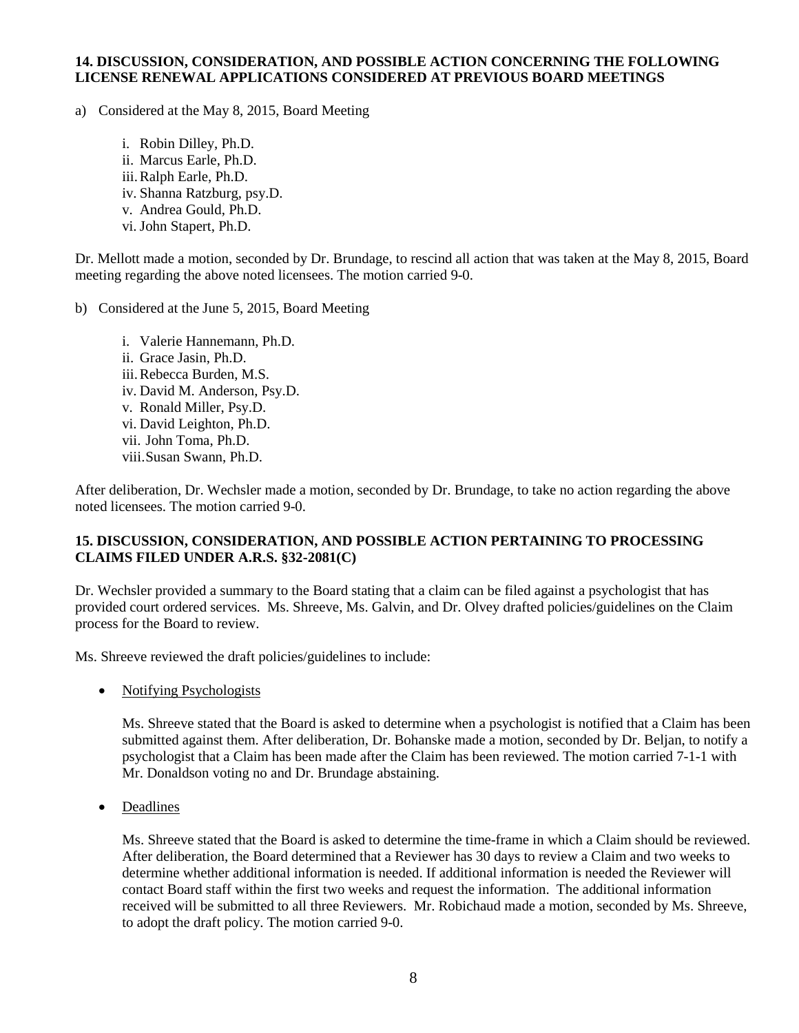#### **14. DISCUSSION, CONSIDERATION, AND POSSIBLE ACTION CONCERNING THE FOLLOWING LICENSE RENEWAL APPLICATIONS CONSIDERED AT PREVIOUS BOARD MEETINGS**

a) Considered at the May 8, 2015, Board Meeting

i. Robin Dilley, Ph.D. ii. Marcus Earle, Ph.D. iii.Ralph Earle, Ph.D. iv. Shanna Ratzburg, psy.D. v. Andrea Gould, Ph.D. vi. John Stapert, Ph.D.

Dr. Mellott made a motion, seconded by Dr. Brundage, to rescind all action that was taken at the May 8, 2015, Board meeting regarding the above noted licensees. The motion carried 9-0.

b) Considered at the June 5, 2015, Board Meeting

i. Valerie Hannemann, Ph.D. ii. Grace Jasin, Ph.D. iii.Rebecca Burden, M.S. iv. David M. Anderson, Psy.D. v. Ronald Miller, Psy.D. vi. David Leighton, Ph.D. vii. John Toma, Ph.D. viii.Susan Swann, Ph.D.

After deliberation, Dr. Wechsler made a motion, seconded by Dr. Brundage, to take no action regarding the above noted licensees. The motion carried 9-0.

# **15. DISCUSSION, CONSIDERATION, AND POSSIBLE ACTION PERTAINING TO PROCESSING CLAIMS FILED UNDER A.R.S. §32-2081(C)**

Dr. Wechsler provided a summary to the Board stating that a claim can be filed against a psychologist that has provided court ordered services. Ms. Shreeve, Ms. Galvin, and Dr. Olvey drafted policies/guidelines on the Claim process for the Board to review.

Ms. Shreeve reviewed the draft policies/guidelines to include:

• Notifying Psychologists

Ms. Shreeve stated that the Board is asked to determine when a psychologist is notified that a Claim has been submitted against them. After deliberation, Dr. Bohanske made a motion, seconded by Dr. Beljan, to notify a psychologist that a Claim has been made after the Claim has been reviewed. The motion carried 7-1-1 with Mr. Donaldson voting no and Dr. Brundage abstaining.

• Deadlines

Ms. Shreeve stated that the Board is asked to determine the time-frame in which a Claim should be reviewed. After deliberation, the Board determined that a Reviewer has 30 days to review a Claim and two weeks to determine whether additional information is needed. If additional information is needed the Reviewer will contact Board staff within the first two weeks and request the information. The additional information received will be submitted to all three Reviewers. Mr. Robichaud made a motion, seconded by Ms. Shreeve, to adopt the draft policy. The motion carried 9-0.